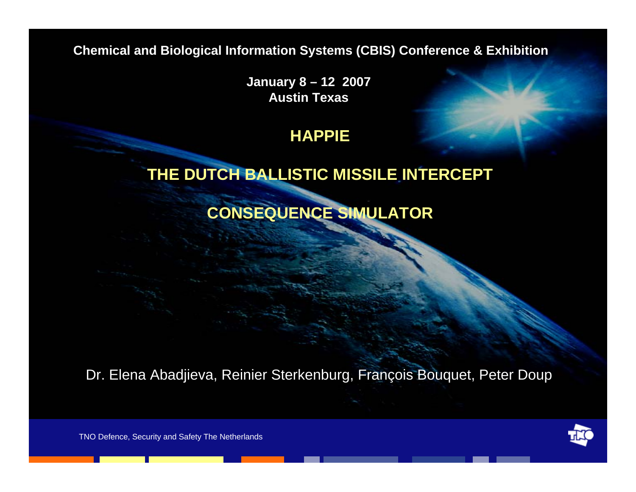**Chemical and Biological Information Systems (CBIS) Conference & Exhibition**

**January 8 – 12 2007 Austin Texas**

#### **HAPPIE**

#### **THE DUTCH BALLISTIC MISSILE INTERCEPT**

### **CONSEQUENCE SIMULATOR**

Dr. Elena Abadjieva, Reinier Sterkenburg, François Bouquet, Peter Doup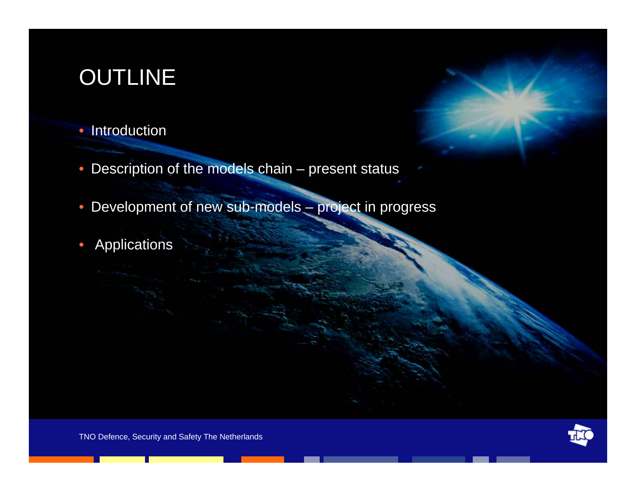# OUTLINE

#### • Introduction

- Description of the models chain present status
- Development of new sub-models project in progress
- Applications



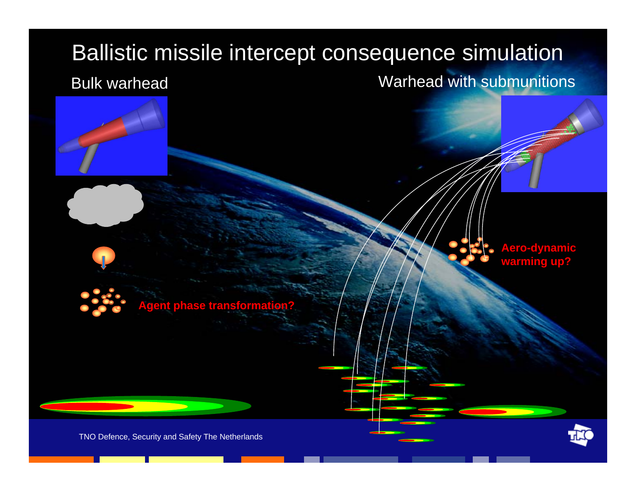#### Ballistic missile intercept consequence simulation Bulk warheadWarhead with submunitions



**gent phase transformation** 

**Aero-dynamic warming up?**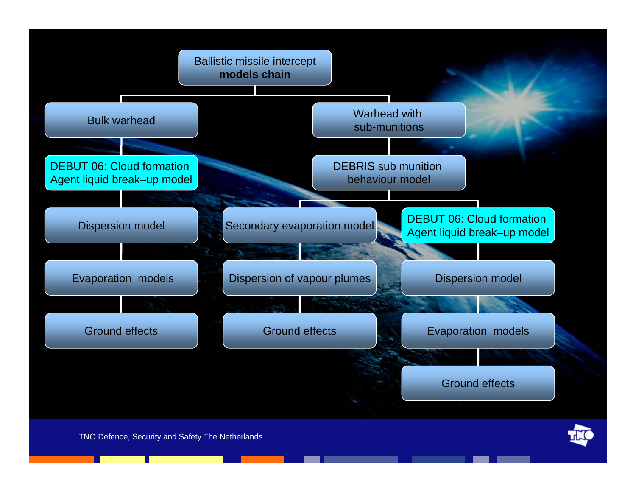

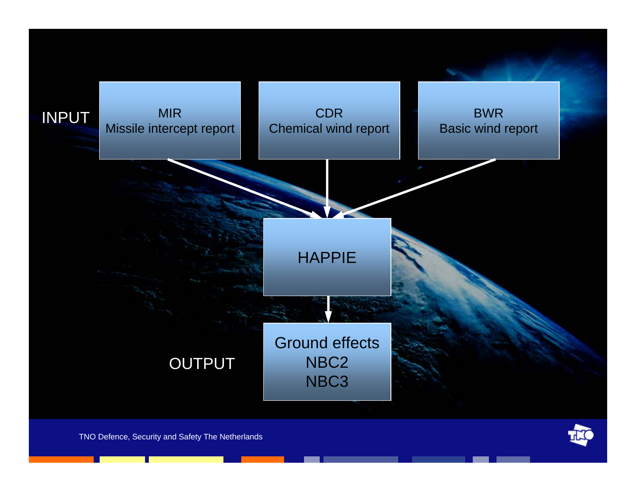



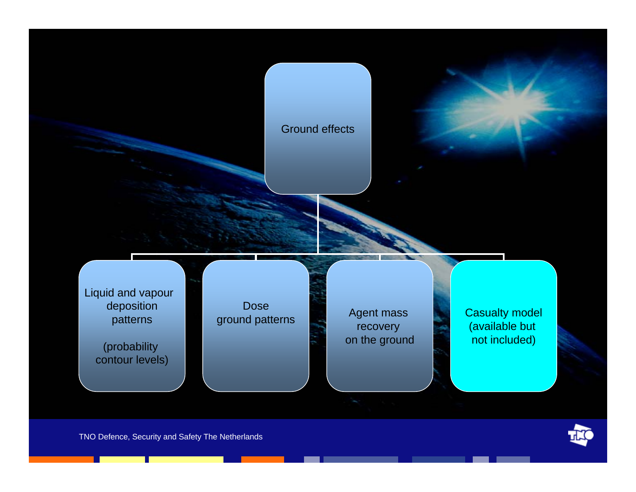#### Ground effects

Liquid and vapour deposition patterns

> (probability contour levels)

Dose

ground patterns **Agent mass** recovery on the ground Casualty model (available but not included)

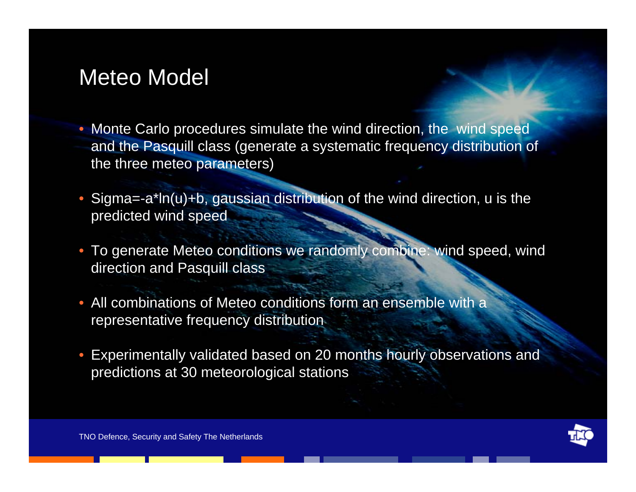# Meteo Model

- Monte Carlo procedures simulate the wind direction, the wind speed and the Pasquill class (generate a systematic frequency distribution of the three meteo parameters)
- Sigma=-a\*ln(u)+b, gaussian distribution of the wind direction, u is the predicted wind speed
- To generate Meteo conditions we randomly combine: wind speed, wind direction and Pasquill class
- All combinations of Meteo conditions form an ensemble with a representative frequency distribution
- Experimentally validated based on 20 months hourly observations and predictions at 30 meteorological stations

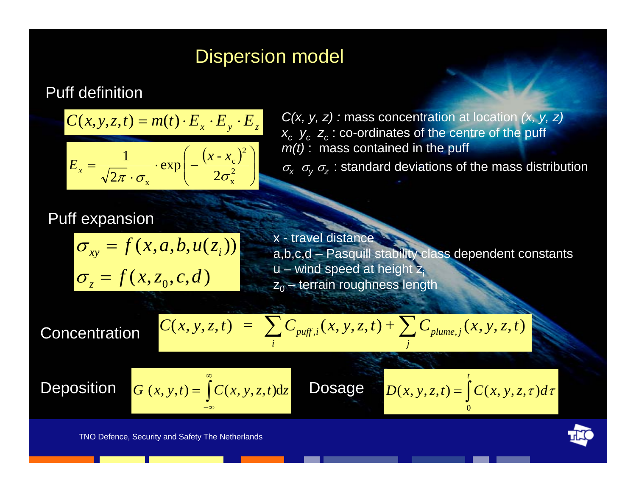### Dispersion model

#### Puff definition

$$
C(x, y, z, t) = m(t) \cdot E_x \cdot E_y \cdot E_z
$$

$$
E_x = \frac{1}{\sqrt{2\pi} \cdot \sigma_x} \cdot \exp\left(-\frac{(x - x_c)^2}{2\sigma_x^2}\right)
$$

*C(x, y, z) :* mass concentration at location *(x, y, z)*  $x_c$   $y_c$   $z_c$   $\approx$  co-ordinates of the centre of the puff *m(t)* : mass contained in the puff

 $\sigma_x$   $\sigma_y$   $\sigma_z$ : standard deviations of the mass distribution

#### Puff expansion

$$
\sigma_{xy} = f(x, a, b, u(z_i))
$$

$$
\sigma_z = f(x, z_0, c, d)
$$

x - travel distance<br>a,b,c,d – Pasquill stability class dependent constants  $u$  – wind speed at height  $z_i$  $z_0$  – terrain roughness length

Concentration

$$
C(x, y, z, t) = \sum_i C_{\text{puff}, i}(x, y, z, t) + \sum_j C_{\text{plume}, j}(x, y, z, t)
$$

Deposition  $G$ 

$$
G(x, y, t) = \int_{-\infty}^{\infty} C(x, y, z, t) dz
$$
 **Dosage** 
$$
D(x, y, z, t) = \int_{0}^{t} C(x, y, z, t) dz
$$

 $D(x, y, z,t) = \int C(x, y, z, \tau) d\tau$  $\overline{0}$ 



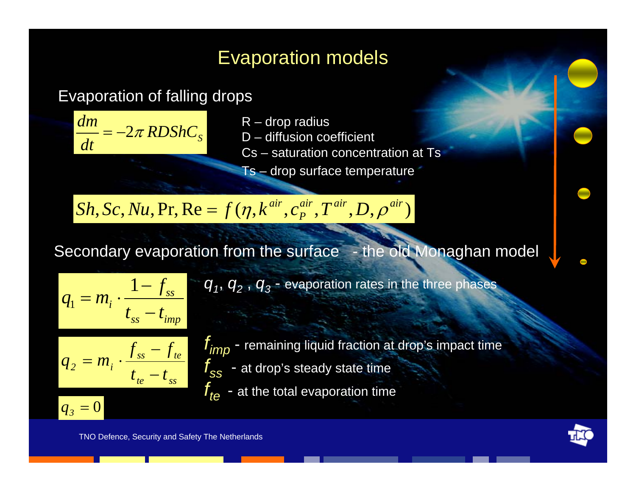# Evaporation models

### Evaporation of falling drops



- 
- 
- Cs saturation concentration at Ts
- Ts drop surface temperature

 $Sh,Sc,Nu,\Pr,\mathrm{Re}=f(\eta,k^{air},c_{P}^{air},T^{air},D,\rho^{air})$ 

Secondary evaporation from the surface - the old Monaghan model

$$
q_1 = m_i \cdot \frac{1 - f_{ss}}{t_{ss} - t_{imp}}
$$

 $q_1$ ,  $q_2$ ,  $q_3$  - evaporation rates in the three phases

$$
q_2 = m_i \cdot \frac{f_{ss} - f_{te}}{t_{te} - t_{ss}}
$$

 $q_{\overline{\beta}} = 0$ 

- *fimp*  remaining liquid fraction at drop's impact time  $t_{ss}$  - at drop's steady state time
- $f_{te}$  at the total evaporation time

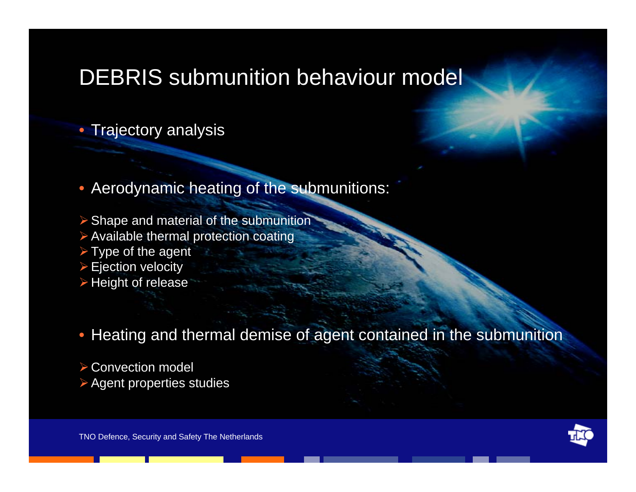# DEBRIS submunition behaviour model

#### • Trajectory analysis

• Aerodynamic heating of the submunitions:

 $\triangleright$  Shape and material of the submunition

 $\triangleright$  Available thermal protection coating

 $\triangleright$  Type of the agent

 $\triangleright$  Ejection velocity

 $\triangleright$  Height of release

• Heating and thermal demise of agent contained in the submunition

¾Convection model ¾Agent properties studies

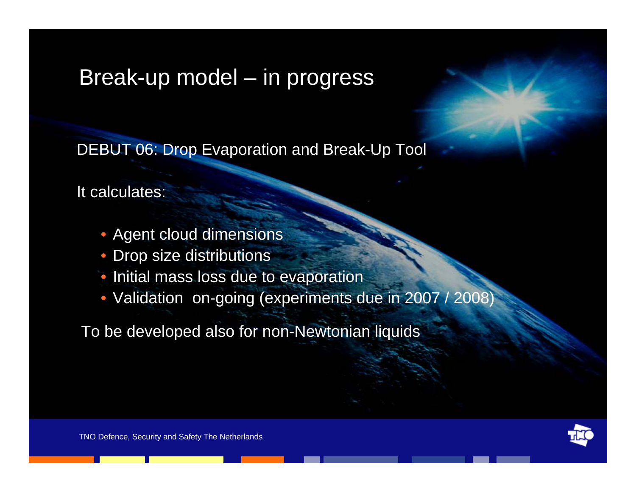# Break-up model – in progress

DEBUT 06: Drop Evaporation and Break-Up Tool

It calculates:

- Agent cloud dimensions
- Drop size distributions
- Initial mass loss due to evaporation
- Validation on-going (experiments due in 2007 / 2008)

To be developed also for non-Newtonian liquids

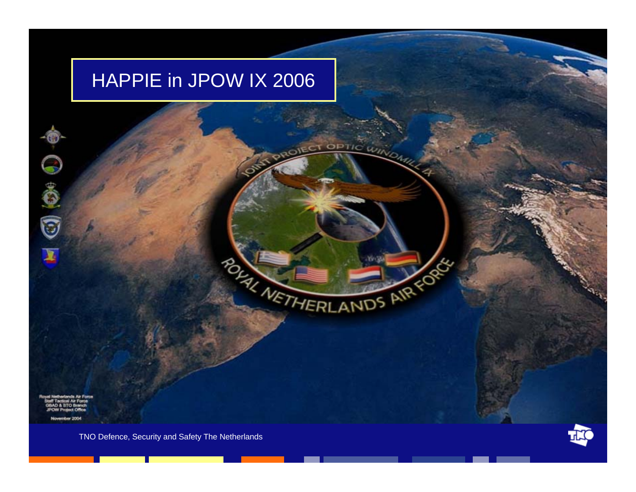# HAPPIE in JPOW IX 2006

**TIC WINO** 

POLITICIANDS AIR OF

 $\Box$   $\odot$ 

embar 2004

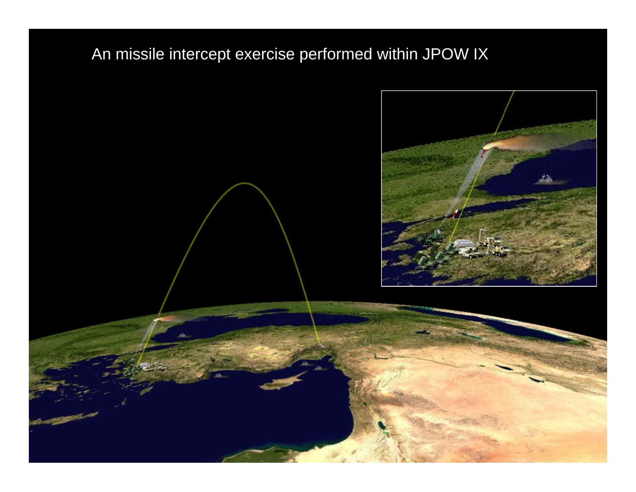### An missile intercept exercise performed within JPOW IX

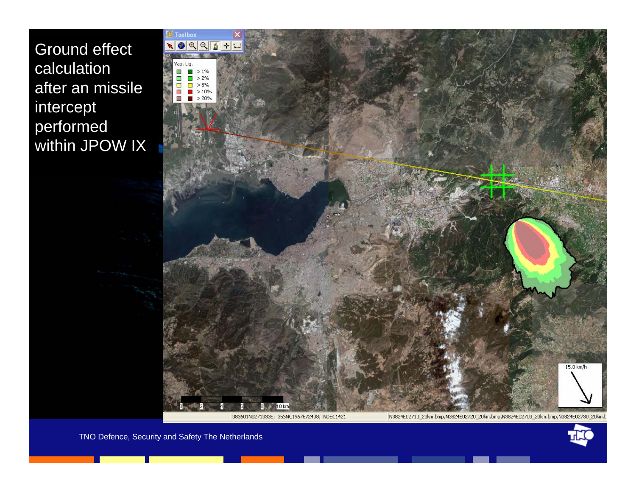Ground effect calculation after an missile intercept performed within JPOW IX



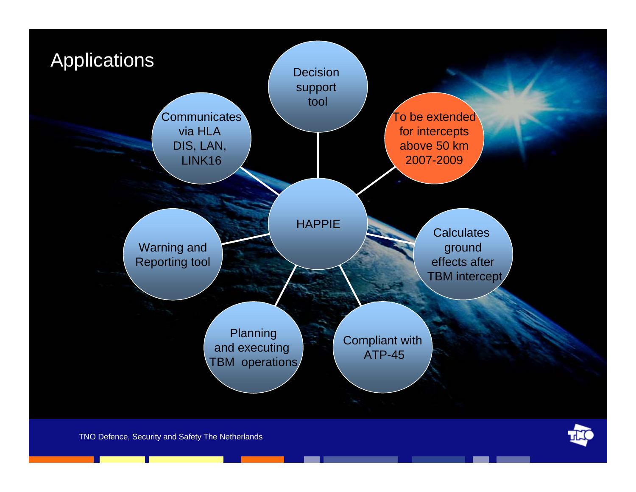